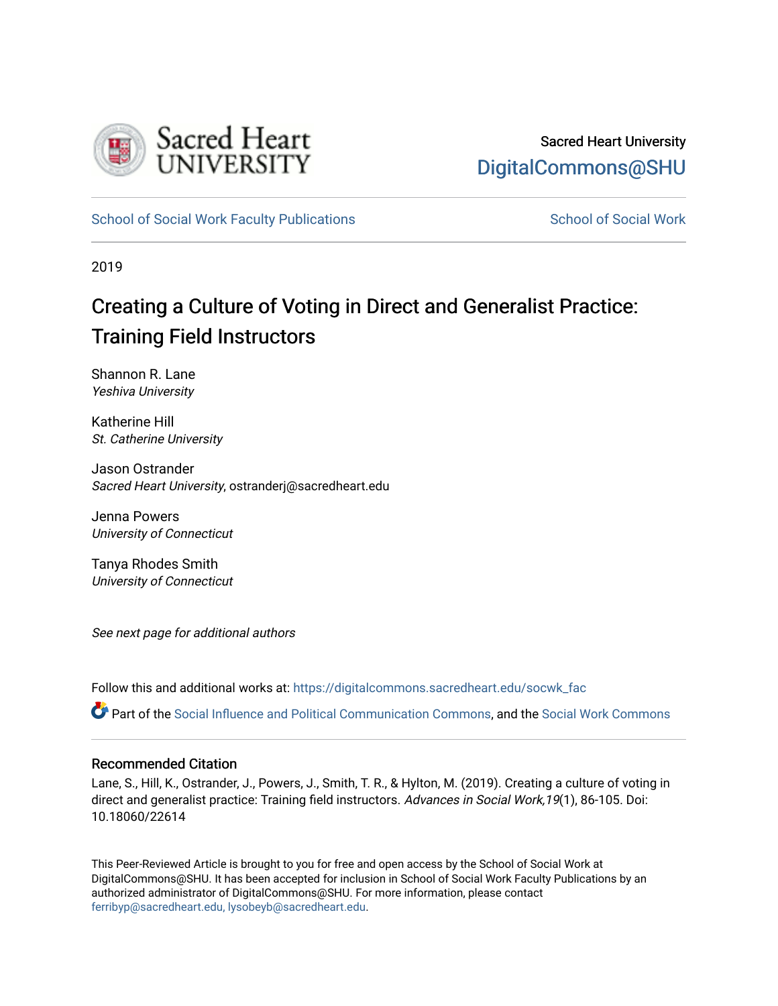

[School of Social Work Faculty Publications](https://digitalcommons.sacredheart.edu/socwk_fac) [School of Social Work](https://digitalcommons.sacredheart.edu/socwk) School of Social Work

2019

# Creating a Culture of Voting in Direct and Generalist Practice: Training Field Instructors

Shannon R. Lane Yeshiva University

Katherine Hill St. Catherine University

Jason Ostrander Sacred Heart University, ostranderj@sacredheart.edu

Jenna Powers University of Connecticut

Tanya Rhodes Smith University of Connecticut

See next page for additional authors

Follow this and additional works at: [https://digitalcommons.sacredheart.edu/socwk\\_fac](https://digitalcommons.sacredheart.edu/socwk_fac?utm_source=digitalcommons.sacredheart.edu%2Fsocwk_fac%2F55&utm_medium=PDF&utm_campaign=PDFCoverPages) 

Part of the [Social Influence and Political Communication Commons,](http://network.bepress.com/hgg/discipline/337?utm_source=digitalcommons.sacredheart.edu%2Fsocwk_fac%2F55&utm_medium=PDF&utm_campaign=PDFCoverPages) and the Social Work Commons

## Recommended Citation

Lane, S., Hill, K., Ostrander, J., Powers, J., Smith, T. R., & Hylton, M. (2019). Creating a culture of voting in direct and generalist practice: Training field instructors. Advances in Social Work, 19(1), 86-105. Doi: 10.18060/22614

This Peer-Reviewed Article is brought to you for free and open access by the School of Social Work at DigitalCommons@SHU. It has been accepted for inclusion in School of Social Work Faculty Publications by an authorized administrator of DigitalCommons@SHU. For more information, please contact [ferribyp@sacredheart.edu, lysobeyb@sacredheart.edu.](mailto:ferribyp@sacredheart.edu,%20lysobeyb@sacredheart.edu)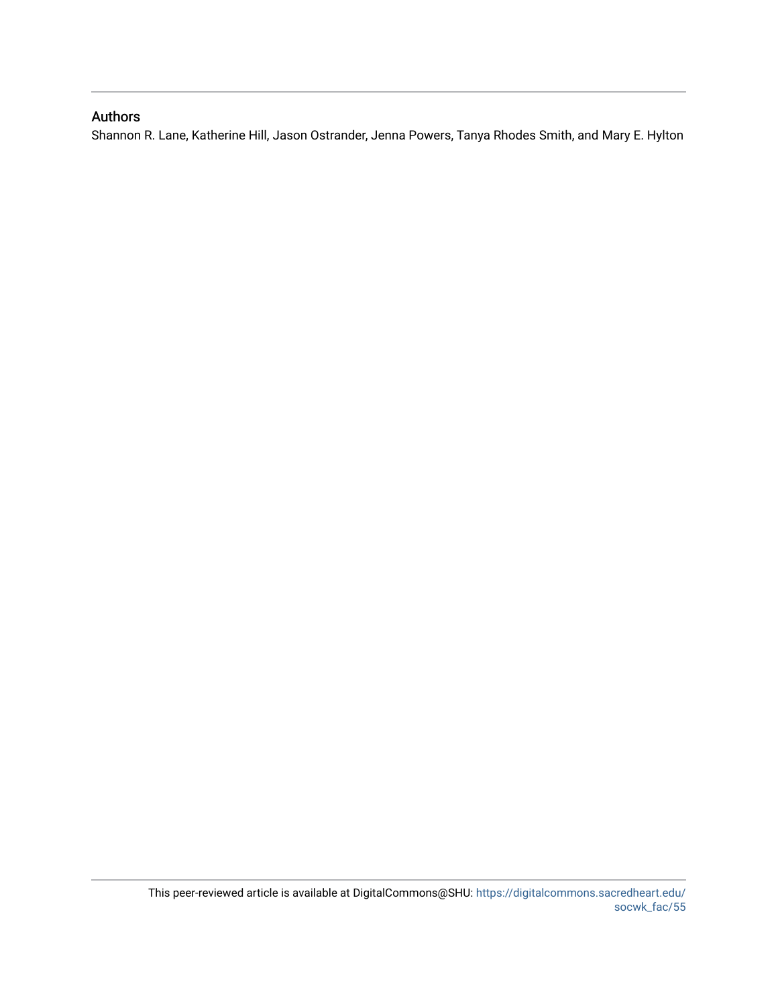## Authors

Shannon R. Lane, Katherine Hill, Jason Ostrander, Jenna Powers, Tanya Rhodes Smith, and Mary E. Hylton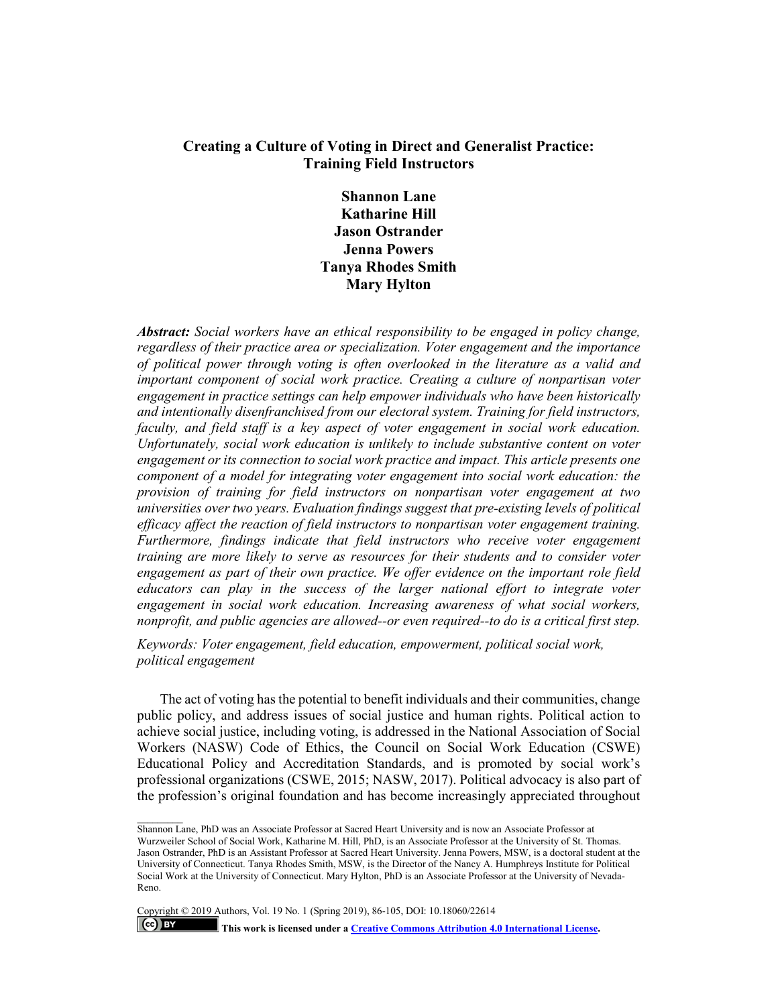## **Creating a Culture of Voting in Direct and Generalist Practice: Training Field Instructors**

**Shannon Lane Katharine Hill Jason Ostrander Jenna Powers Tanya Rhodes Smith Mary Hylton**

*Abstract: Social workers have an ethical responsibility to be engaged in policy change, regardless of their practice area or specialization. Voter engagement and the importance of political power through voting is often overlooked in the literature as a valid and important component of social work practice. Creating a culture of nonpartisan voter engagement in practice settings can help empower individuals who have been historically and intentionally disenfranchised from our electoral system. Training for field instructors, faculty, and field staff is a key aspect of voter engagement in social work education. Unfortunately, social work education is unlikely to include substantive content on voter engagement or its connection to social work practice and impact. This article presents one component of a model for integrating voter engagement into social work education: the provision of training for field instructors on nonpartisan voter engagement at two universities over two years. Evaluation findings suggest that pre-existing levels of political efficacy affect the reaction of field instructors to nonpartisan voter engagement training. Furthermore, findings indicate that field instructors who receive voter engagement training are more likely to serve as resources for their students and to consider voter engagement as part of their own practice. We offer evidence on the important role field educators can play in the success of the larger national effort to integrate voter engagement in social work education. Increasing awareness of what social workers, nonprofit, and public agencies are allowed--or even required--to do is a critical first step.*

*Keywords: Voter engagement, field education, empowerment, political social work, political engagement*

The act of voting has the potential to benefit individuals and their communities, change public policy, and address issues of social justice and human rights. Political action to achieve social justice, including voting, is addressed in the National Association of Social Workers (NASW) Code of Ethics, the Council on Social Work Education (CSWE) Educational Policy and Accreditation Standards, and is promoted by social work's professional organizations (CSWE, 2015; NASW, 2017). Political advocacy is also part of the profession's original foundation and has become increasingly appreciated throughout

Copyright © 2019 Authors, Vol. 19 No. 1 (Spring 2019), 86-105, DOI: 10.18060/22614  $|$  (cc) BY **This work is licensed under [a Creative Commons Attribution 4.0 International License.](https://creativecommons.org/licenses/by/4.0/)**

Shannon Lane, PhD was an Associate Professor at Sacred Heart University and is now an Associate Professor at Wurzweiler School of Social Work, Katharine M. Hill, PhD, is an Associate Professor at the University of St. Thomas. Jason Ostrander, PhD is an Assistant Professor at Sacred Heart University. Jenna Powers, MSW, is a doctoral student at the University of Connecticut. Tanya Rhodes Smith, MSW, is the Director of the Nancy A. Humphreys Institute for Political Social Work at the University of Connecticut. Mary Hylton, PhD is an Associate Professor at the University of Nevada-Reno.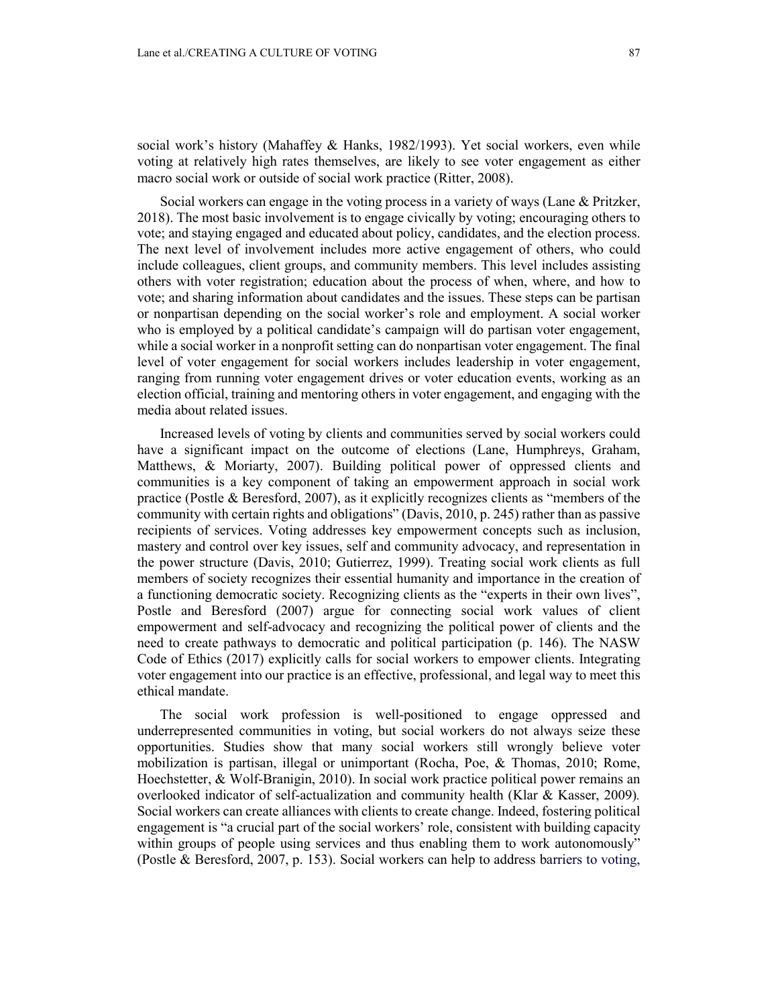social work's history (Mahaffey & Hanks, 1982/1993). Yet social workers, even while voting at relatively high rates themselves, are likely to see voter engagement as either macro social work or outside of social work practice (Ritter, 2008).

Social workers can engage in the voting process in a variety of ways (Lane & Pritzker, 2018). The most basic involvement is to engage civically by voting; encouraging others to vote; and staying engaged and educated about policy, candidates, and the election process. The next level of involvement includes more active engagement of others, who could include colleagues, client groups, and community members. This level includes assisting others with voter registration; education about the process of when, where, and how to vote; and sharing information about candidates and the issues. These steps can be partisan or nonpartisan depending on the social worker's role and employment. A social worker who is employed by a political candidate's campaign will do partisan voter engagement, while a social worker in a nonprofit setting can do nonpartisan voter engagement. The final level of voter engagement for social workers includes leadership in voter engagement, ranging from running voter engagement drives or voter education events, working as an election official, training and mentoring others in voter engagement, and engaging with the media about related issues.

Increased levels of voting by clients and communities served by social workers could have a significant impact on the outcome of elections (Lane, Humphreys, Graham, Matthews, & Moriarty, 2007). Building political power of oppressed clients and communities is a key component of taking an empowerment approach in social work practice (Postle & Beresford, 2007), as it explicitly recognizes clients as "members of the community with certain rights and obligations" (Davis, 2010, p. 245) rather than as passive recipients of services. Voting addresses key empowerment concepts such as inclusion, mastery and control over key issues, self and community advocacy, and representation in the power structure (Davis, 2010; Gutierrez, 1999). Treating social work clients as full members of society recognizes their essential humanity and importance in the creation of a functioning democratic society. Recognizing clients as the "experts in their own lives", Postle and Beresford (2007) argue for connecting social work values of client empowerment and self-advocacy and recognizing the political power of clients and the need to create pathways to democratic and political participation (p. 146). The NASW Code of Ethics (2017) explicitly calls for social workers to empower clients. Integrating voter engagement into our practice is an effective, professional, and legal way to meet this ethical mandate.

The social work profession is well-positioned to engage oppressed and underrepresented communities in voting, but social workers do not always seize these opportunities. Studies show that many social workers still wrongly believe voter mobilization is partisan, illegal or unimportant (Rocha, Poe, & Thomas, 2010; Rome, Hoechstetter, & Wolf-Branigin, 2010). In social work practice political power remains an overlooked indicator of self-actualization and community health (Klar & Kasser, 2009)*.* Social workers can create alliances with clients to create change. Indeed, fostering political engagement is "a crucial part of the social workers' role, consistent with building capacity within groups of people using services and thus enabling them to work autonomously" (Postle & Beresford, 2007, p. 153). Social workers can help to address barriers to voting,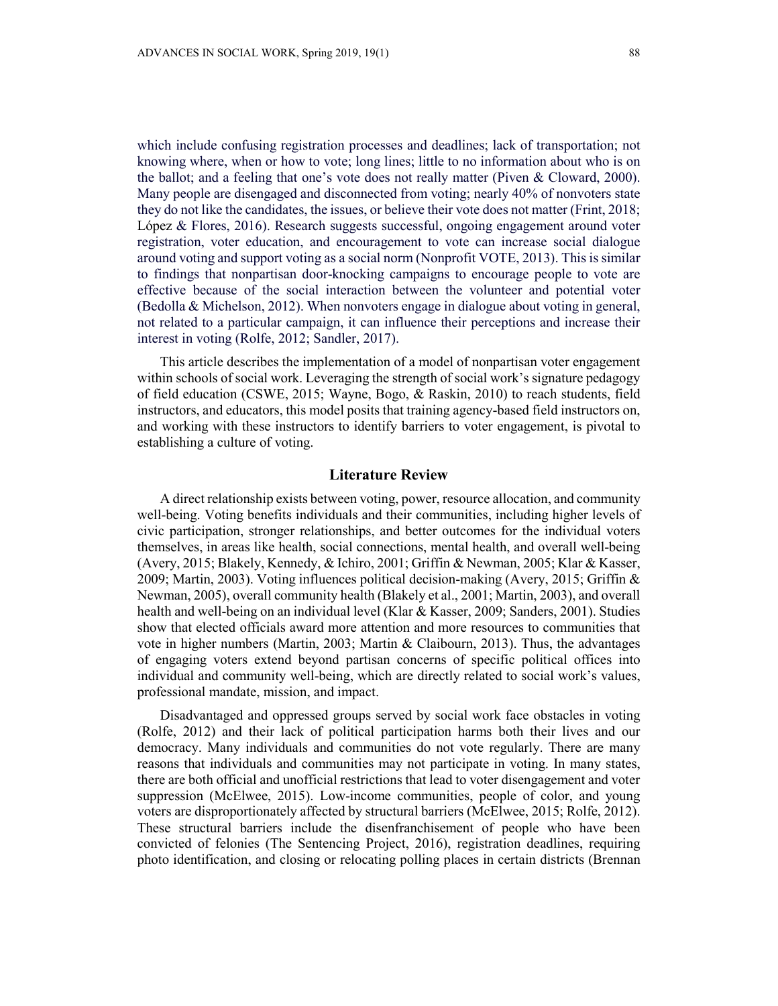which include confusing registration processes and deadlines; lack of transportation; not knowing where, when or how to vote; long lines; little to no information about who is on the ballot; and a feeling that one's vote does not really matter (Piven & Cloward, 2000). Many people are disengaged and disconnected from voting; nearly 40% of nonvoters state they do not like the candidates, the issues, or believe their vote does not matter (Frint, 2018; López & Flores, 2016). Research suggests successful, ongoing engagement around voter registration, voter education, and encouragement to vote can increase social dialogue around voting and support voting as a social norm (Nonprofit VOTE, 2013). This is similar to findings that nonpartisan door-knocking campaigns to encourage people to vote are effective because of the social interaction between the volunteer and potential voter (Bedolla & Michelson, 2012). When nonvoters engage in dialogue about voting in general, not related to a particular campaign, it can influence their perceptions and increase their interest in voting (Rolfe, 2012; Sandler, 2017).

This article describes the implementation of a model of nonpartisan voter engagement within schools of social work. Leveraging the strength of social work's signature pedagogy of field education (CSWE, 2015; Wayne, Bogo, & Raskin, 2010) to reach students, field instructors, and educators, this model posits that training agency-based field instructors on, and working with these instructors to identify barriers to voter engagement, is pivotal to establishing a culture of voting.

## **Literature Review**

A direct relationship exists between voting, power, resource allocation, and community well-being. Voting benefits individuals and their communities, including higher levels of civic participation, stronger relationships, and better outcomes for the individual voters themselves, in areas like health, social connections, mental health, and overall well-being (Avery, 2015; Blakely, Kennedy, & Ichiro, 2001; Griffin & Newman, 2005; Klar & Kasser, 2009; Martin, 2003). Voting influences political decision-making (Avery, 2015; Griffin & Newman, 2005), overall community health (Blakely et al., 2001; Martin, 2003), and overall health and well-being on an individual level (Klar & Kasser, 2009; Sanders, 2001). Studies show that elected officials award more attention and more resources to communities that vote in higher numbers (Martin, 2003; Martin & Claibourn, 2013). Thus, the advantages of engaging voters extend beyond partisan concerns of specific political offices into individual and community well-being, which are directly related to social work's values, professional mandate, mission, and impact.

Disadvantaged and oppressed groups served by social work face obstacles in voting (Rolfe, 2012) and their lack of political participation harms both their lives and our democracy. Many individuals and communities do not vote regularly. There are many reasons that individuals and communities may not participate in voting. In many states, there are both official and unofficial restrictions that lead to voter disengagement and voter suppression (McElwee, 2015). Low-income communities, people of color, and young voters are disproportionately affected by structural barriers (McElwee, 2015; Rolfe, 2012). These structural barriers include the disenfranchisement of people who have been convicted of felonies (The Sentencing Project, 2016), registration deadlines, requiring photo identification, and closing or relocating polling places in certain districts (Brennan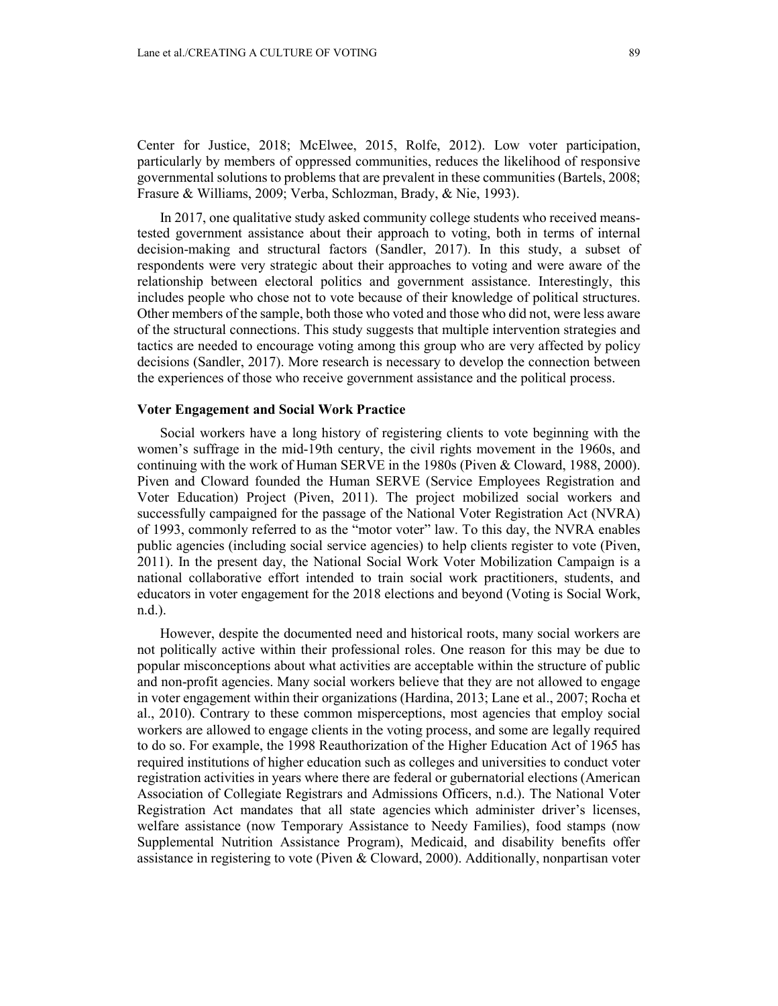Center for Justice, 2018; McElwee, 2015, Rolfe, 2012). Low voter participation, particularly by members of oppressed communities, reduces the likelihood of responsive governmental solutions to problems that are prevalent in these communities (Bartels, 2008; Frasure & Williams, 2009; Verba, Schlozman, Brady, & Nie, 1993).

In 2017, one qualitative study asked community college students who received meanstested government assistance about their approach to voting, both in terms of internal decision-making and structural factors (Sandler, 2017). In this study, a subset of respondents were very strategic about their approaches to voting and were aware of the relationship between electoral politics and government assistance. Interestingly, this includes people who chose not to vote because of their knowledge of political structures. Other members of the sample, both those who voted and those who did not, were less aware of the structural connections. This study suggests that multiple intervention strategies and tactics are needed to encourage voting among this group who are very affected by policy decisions (Sandler, 2017). More research is necessary to develop the connection between the experiences of those who receive government assistance and the political process.

## **Voter Engagement and Social Work Practice**

Social workers have a long history of registering clients to vote beginning with the women's suffrage in the mid-19th century, the civil rights movement in the 1960s, and continuing with the work of Human SERVE in the 1980s (Piven & Cloward, 1988, 2000). Piven and Cloward founded the Human SERVE (Service Employees Registration and Voter Education) Project (Piven, 2011). The project mobilized social workers and successfully campaigned for the passage of the National Voter Registration Act (NVRA) of 1993, commonly referred to as the "motor voter" law. To this day, the NVRA enables public agencies (including social service agencies) to help clients register to vote (Piven, 2011). In the present day, the National Social Work Voter Mobilization Campaign is a national collaborative effort intended to train social work practitioners, students, and educators in voter engagement for the 2018 elections and beyond (Voting is Social Work, n.d.).

However, despite the documented need and historical roots, many social workers are not politically active within their professional roles. One reason for this may be due to popular misconceptions about what activities are acceptable within the structure of public and non-profit agencies. Many social workers believe that they are not allowed to engage in voter engagement within their organizations (Hardina, 2013; Lane et al., 2007; Rocha et al., 2010). Contrary to these common misperceptions, most agencies that employ social workers are allowed to engage clients in the voting process, and some are legally required to do so. For example, the 1998 Reauthorization of the Higher Education Act of 1965 has required institutions of higher education such as colleges and universities to conduct voter registration activities in years where there are federal or gubernatorial elections (American Association of Collegiate Registrars and Admissions Officers, n.d.). The National Voter Registration Act mandates that all state agencies which administer driver's licenses, welfare assistance (now Temporary Assistance to Needy Families), food stamps (now Supplemental Nutrition Assistance Program), Medicaid, and disability benefits offer assistance in registering to vote (Piven & Cloward, 2000). Additionally, nonpartisan voter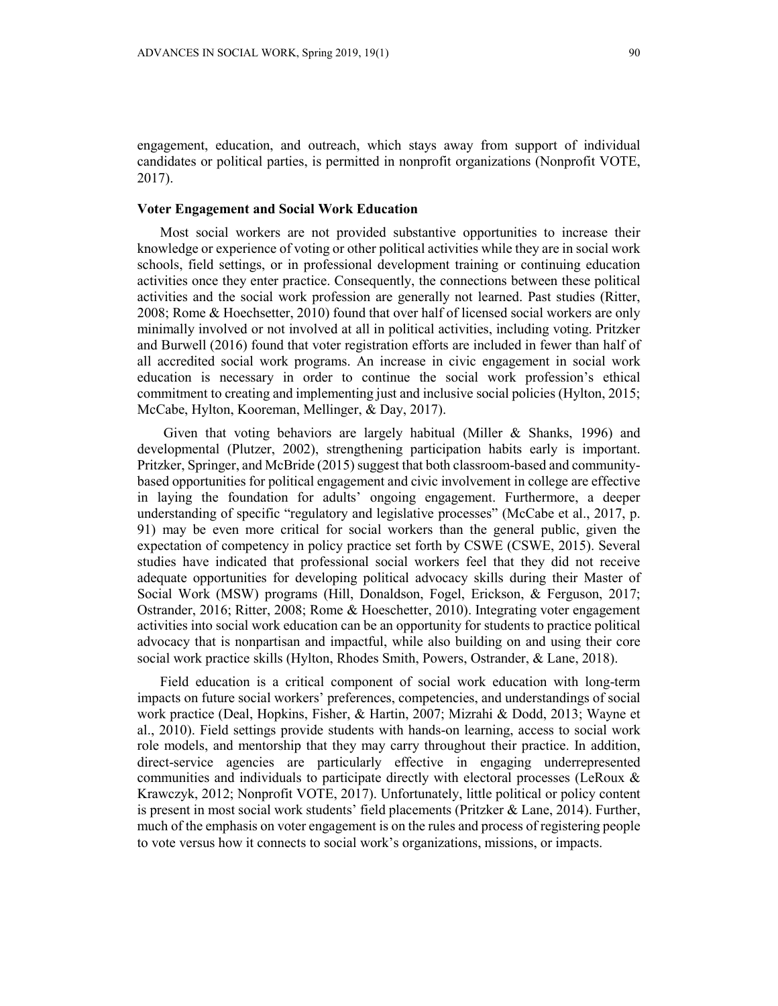engagement, education, and outreach, which stays away from support of individual candidates or political parties, is permitted in nonprofit organizations (Nonprofit VOTE, 2017).

## **Voter Engagement and Social Work Education**

Most social workers are not provided substantive opportunities to increase their knowledge or experience of voting or other political activities while they are in social work schools, field settings, or in professional development training or continuing education activities once they enter practice. Consequently, the connections between these political activities and the social work profession are generally not learned. Past studies (Ritter, 2008; Rome & Hoechsetter, 2010) found that over half of licensed social workers are only minimally involved or not involved at all in political activities, including voting. Pritzker and Burwell (2016) found that voter registration efforts are included in fewer than half of all accredited social work programs. An increase in civic engagement in social work education is necessary in order to continue the social work profession's ethical commitment to creating and implementing just and inclusive social policies (Hylton, 2015; McCabe, Hylton, Kooreman, Mellinger, & Day, 2017).

Given that voting behaviors are largely habitual (Miller & Shanks, 1996) and developmental (Plutzer, 2002), strengthening participation habits early is important. Pritzker, Springer, and McBride (2015) suggest that both classroom-based and communitybased opportunities for political engagement and civic involvement in college are effective in laying the foundation for adults' ongoing engagement. Furthermore, a deeper understanding of specific "regulatory and legislative processes" (McCabe et al., 2017, p. 91) may be even more critical for social workers than the general public, given the expectation of competency in policy practice set forth by CSWE (CSWE, 2015). Several studies have indicated that professional social workers feel that they did not receive adequate opportunities for developing political advocacy skills during their Master of Social Work (MSW) programs (Hill, Donaldson, Fogel, Erickson, & Ferguson, 2017; Ostrander, 2016; Ritter, 2008; Rome & Hoeschetter, 2010). Integrating voter engagement activities into social work education can be an opportunity for students to practice political advocacy that is nonpartisan and impactful, while also building on and using their core social work practice skills (Hylton, Rhodes Smith, Powers, Ostrander, & Lane, 2018).

Field education is a critical component of social work education with long-term impacts on future social workers' preferences, competencies, and understandings of social work practice (Deal, Hopkins, Fisher, & Hartin, 2007; Mizrahi & Dodd, 2013; Wayne et al., 2010). Field settings provide students with hands-on learning, access to social work role models, and mentorship that they may carry throughout their practice. In addition, direct-service agencies are particularly effective in engaging underrepresented communities and individuals to participate directly with electoral processes (LeRoux & Krawczyk, 2012; Nonprofit VOTE, 2017). Unfortunately, little political or policy content is present in most social work students' field placements (Pritzker & Lane, 2014). Further, much of the emphasis on voter engagement is on the rules and process of registering people to vote versus how it connects to social work's organizations, missions, or impacts.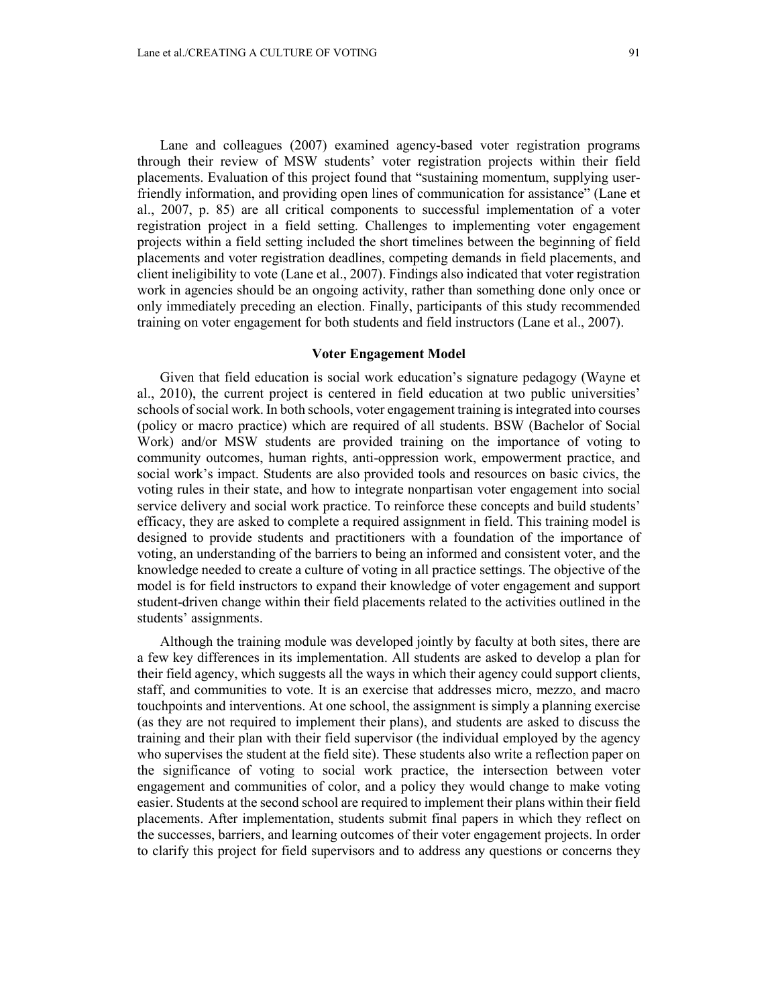Lane and colleagues (2007) examined agency-based voter registration programs through their review of MSW students' voter registration projects within their field placements. Evaluation of this project found that "sustaining momentum, supplying userfriendly information, and providing open lines of communication for assistance" (Lane et al., 2007, p. 85) are all critical components to successful implementation of a voter registration project in a field setting. Challenges to implementing voter engagement projects within a field setting included the short timelines between the beginning of field placements and voter registration deadlines, competing demands in field placements, and client ineligibility to vote (Lane et al., 2007). Findings also indicated that voter registration work in agencies should be an ongoing activity, rather than something done only once or only immediately preceding an election. Finally, participants of this study recommended training on voter engagement for both students and field instructors (Lane et al., 2007).

#### **Voter Engagement Model**

Given that field education is social work education's signature pedagogy (Wayne et al., 2010), the current project is centered in field education at two public universities' schools of social work. In both schools, voter engagement training is integrated into courses (policy or macro practice) which are required of all students. BSW (Bachelor of Social Work) and/or MSW students are provided training on the importance of voting to community outcomes, human rights, anti-oppression work, empowerment practice, and social work's impact. Students are also provided tools and resources on basic civics, the voting rules in their state, and how to integrate nonpartisan voter engagement into social service delivery and social work practice. To reinforce these concepts and build students' efficacy, they are asked to complete a required assignment in field. This training model is designed to provide students and practitioners with a foundation of the importance of voting, an understanding of the barriers to being an informed and consistent voter, and the knowledge needed to create a culture of voting in all practice settings. The objective of the model is for field instructors to expand their knowledge of voter engagement and support student-driven change within their field placements related to the activities outlined in the students' assignments.

Although the training module was developed jointly by faculty at both sites, there are a few key differences in its implementation. All students are asked to develop a plan for their field agency, which suggests all the ways in which their agency could support clients, staff, and communities to vote. It is an exercise that addresses micro, mezzo, and macro touchpoints and interventions. At one school, the assignment is simply a planning exercise (as they are not required to implement their plans), and students are asked to discuss the training and their plan with their field supervisor (the individual employed by the agency who supervises the student at the field site). These students also write a reflection paper on the significance of voting to social work practice, the intersection between voter engagement and communities of color, and a policy they would change to make voting easier. Students at the second school are required to implement their plans within their field placements. After implementation, students submit final papers in which they reflect on the successes, barriers, and learning outcomes of their voter engagement projects. In order to clarify this project for field supervisors and to address any questions or concerns they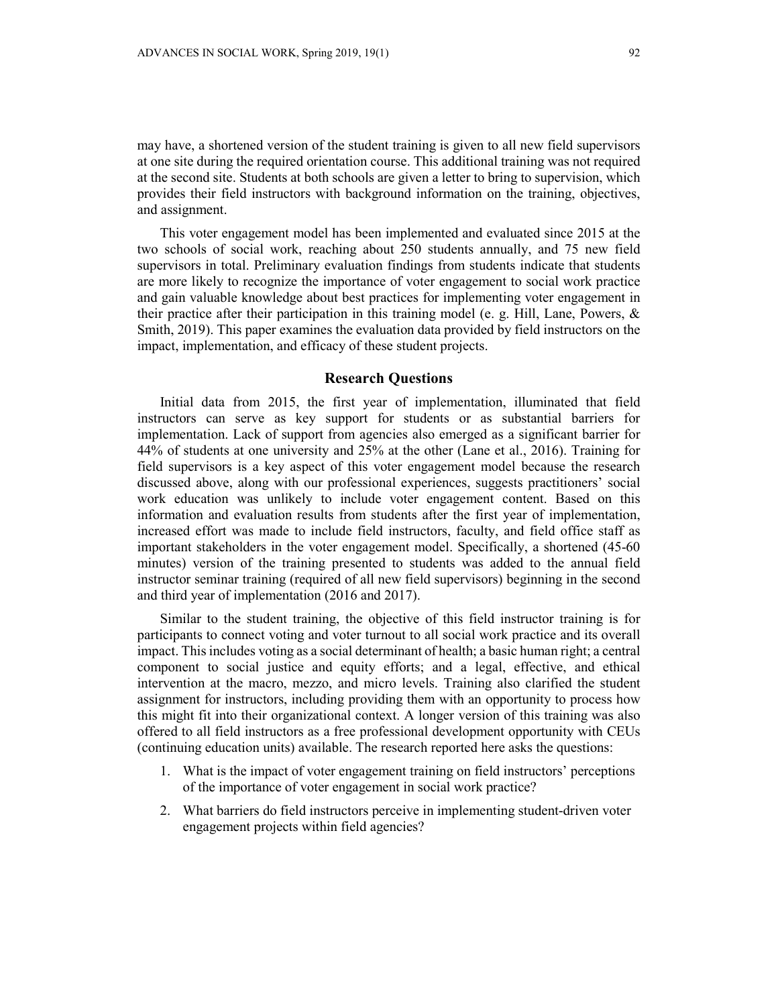may have, a shortened version of the student training is given to all new field supervisors at one site during the required orientation course. This additional training was not required at the second site. Students at both schools are given a letter to bring to supervision, which provides their field instructors with background information on the training, objectives, and assignment.

This voter engagement model has been implemented and evaluated since 2015 at the two schools of social work, reaching about 250 students annually, and 75 new field supervisors in total. Preliminary evaluation findings from students indicate that students are more likely to recognize the importance of voter engagement to social work practice and gain valuable knowledge about best practices for implementing voter engagement in their practice after their participation in this training model (e. g. Hill, Lane, Powers, & Smith, 2019). This paper examines the evaluation data provided by field instructors on the impact, implementation, and efficacy of these student projects.

## **Research Questions**

Initial data from 2015, the first year of implementation, illuminated that field instructors can serve as key support for students or as substantial barriers for implementation. Lack of support from agencies also emerged as a significant barrier for 44% of students at one university and 25% at the other (Lane et al., 2016). Training for field supervisors is a key aspect of this voter engagement model because the research discussed above, along with our professional experiences, suggests practitioners' social work education was unlikely to include voter engagement content. Based on this information and evaluation results from students after the first year of implementation, increased effort was made to include field instructors, faculty, and field office staff as important stakeholders in the voter engagement model. Specifically, a shortened (45-60 minutes) version of the training presented to students was added to the annual field instructor seminar training (required of all new field supervisors) beginning in the second and third year of implementation (2016 and 2017).

Similar to the student training, the objective of this field instructor training is for participants to connect voting and voter turnout to all social work practice and its overall impact. This includes voting as a social determinant of health; a basic human right; a central component to social justice and equity efforts; and a legal, effective, and ethical intervention at the macro, mezzo, and micro levels. Training also clarified the student assignment for instructors, including providing them with an opportunity to process how this might fit into their organizational context. A longer version of this training was also offered to all field instructors as a free professional development opportunity with CEUs (continuing education units) available. The research reported here asks the questions:

- 1. What is the impact of voter engagement training on field instructors' perceptions of the importance of voter engagement in social work practice?
- 2. What barriers do field instructors perceive in implementing student-driven voter engagement projects within field agencies?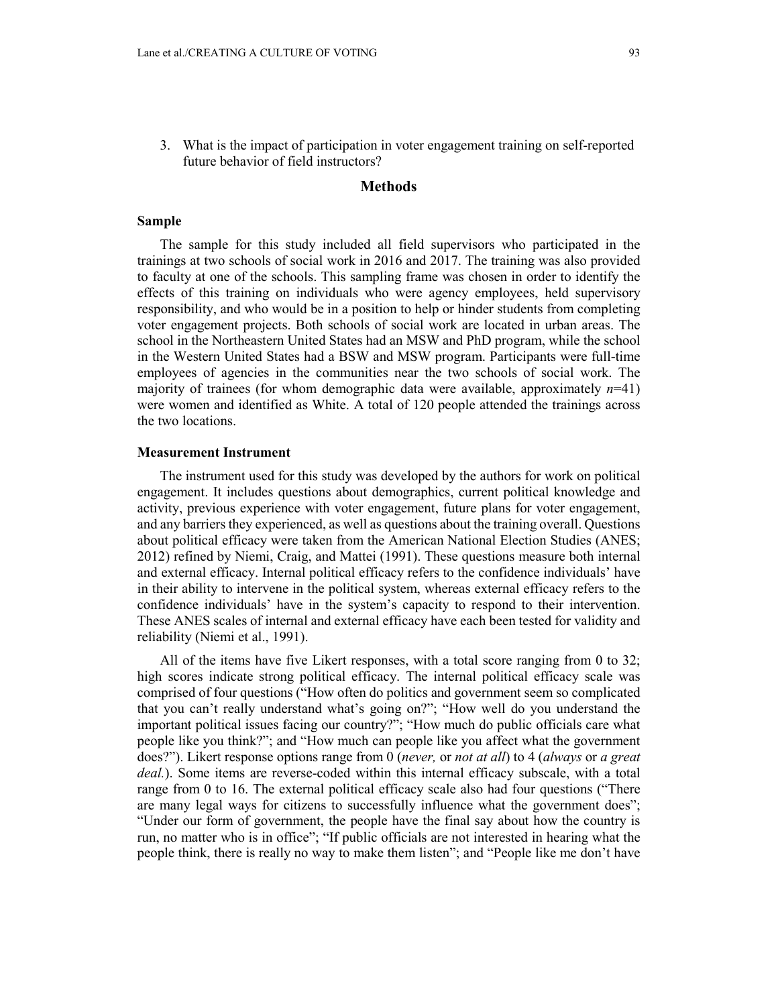3. What is the impact of participation in voter engagement training on self-reported future behavior of field instructors?

## **Methods**

#### **Sample**

The sample for this study included all field supervisors who participated in the trainings at two schools of social work in 2016 and 2017. The training was also provided to faculty at one of the schools. This sampling frame was chosen in order to identify the effects of this training on individuals who were agency employees, held supervisory responsibility, and who would be in a position to help or hinder students from completing voter engagement projects. Both schools of social work are located in urban areas. The school in the Northeastern United States had an MSW and PhD program, while the school in the Western United States had a BSW and MSW program. Participants were full-time employees of agencies in the communities near the two schools of social work. The majority of trainees (for whom demographic data were available, approximately  $n=41$ ) were women and identified as White. A total of 120 people attended the trainings across the two locations.

## **Measurement Instrument**

The instrument used for this study was developed by the authors for work on political engagement. It includes questions about demographics, current political knowledge and activity, previous experience with voter engagement, future plans for voter engagement, and any barriers they experienced, as well as questions about the training overall. Questions about political efficacy were taken from the American National Election Studies (ANES; 2012) refined by Niemi, Craig, and Mattei (1991). These questions measure both internal and external efficacy. Internal political efficacy refers to the confidence individuals' have in their ability to intervene in the political system, whereas external efficacy refers to the confidence individuals' have in the system's capacity to respond to their intervention. These ANES scales of internal and external efficacy have each been tested for validity and reliability (Niemi et al., 1991).

All of the items have five Likert responses, with a total score ranging from 0 to 32; high scores indicate strong political efficacy. The internal political efficacy scale was comprised of four questions ("How often do politics and government seem so complicated that you can't really understand what's going on?"; "How well do you understand the important political issues facing our country?"; "How much do public officials care what people like you think?"; and "How much can people like you affect what the government does?"). Likert response options range from 0 (*never,* or *not at all*) to 4 (*always* or *a great deal.*). Some items are reverse-coded within this internal efficacy subscale, with a total range from 0 to 16. The external political efficacy scale also had four questions ("There are many legal ways for citizens to successfully influence what the government does"; "Under our form of government, the people have the final say about how the country is run, no matter who is in office"; "If public officials are not interested in hearing what the people think, there is really no way to make them listen"; and "People like me don't have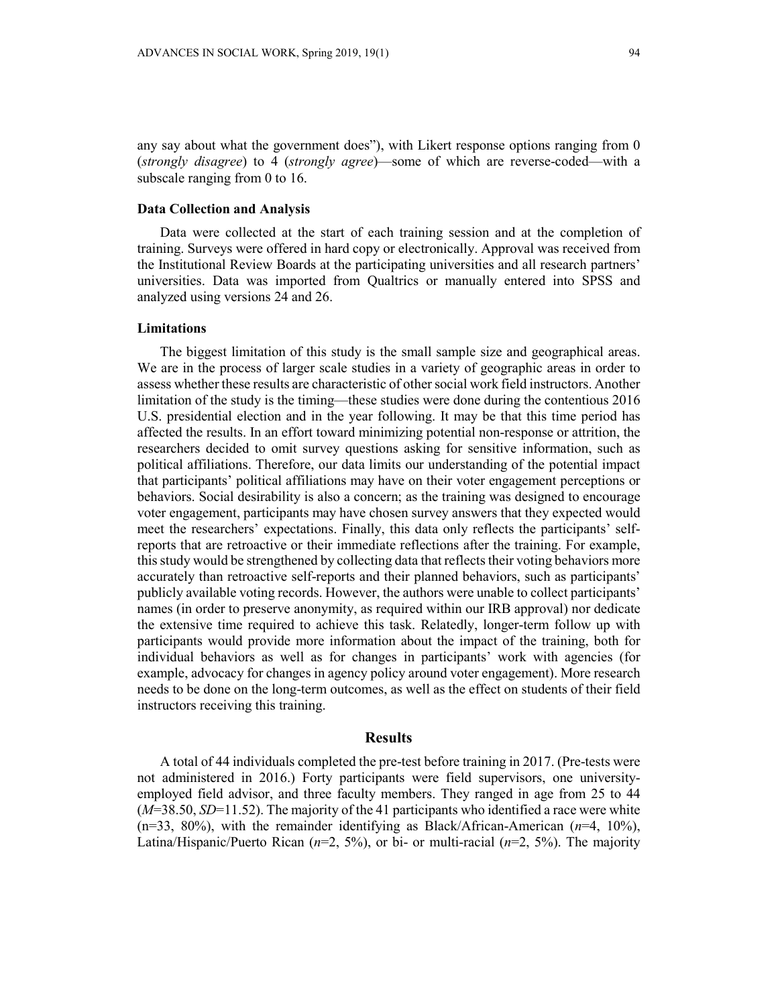any say about what the government does"), with Likert response options ranging from 0 (*strongly disagree*) to 4 (*strongly agree*)—some of which are reverse-coded—with a subscale ranging from 0 to 16.

## **Data Collection and Analysis**

Data were collected at the start of each training session and at the completion of training. Surveys were offered in hard copy or electronically. Approval was received from the Institutional Review Boards at the participating universities and all research partners' universities. Data was imported from Qualtrics or manually entered into SPSS and analyzed using versions 24 and 26.

## **Limitations**

The biggest limitation of this study is the small sample size and geographical areas. We are in the process of larger scale studies in a variety of geographic areas in order to assess whether these results are characteristic of other social work field instructors. Another limitation of the study is the timing—these studies were done during the contentious 2016 U.S. presidential election and in the year following. It may be that this time period has affected the results. In an effort toward minimizing potential non-response or attrition, the researchers decided to omit survey questions asking for sensitive information, such as political affiliations. Therefore, our data limits our understanding of the potential impact that participants' political affiliations may have on their voter engagement perceptions or behaviors. Social desirability is also a concern; as the training was designed to encourage voter engagement, participants may have chosen survey answers that they expected would meet the researchers' expectations. Finally, this data only reflects the participants' selfreports that are retroactive or their immediate reflections after the training. For example, this study would be strengthened by collecting data that reflects their voting behaviors more accurately than retroactive self-reports and their planned behaviors, such as participants' publicly available voting records. However, the authors were unable to collect participants' names (in order to preserve anonymity, as required within our IRB approval) nor dedicate the extensive time required to achieve this task. Relatedly, longer-term follow up with participants would provide more information about the impact of the training, both for individual behaviors as well as for changes in participants' work with agencies (for example, advocacy for changes in agency policy around voter engagement). More research needs to be done on the long-term outcomes, as well as the effect on students of their field instructors receiving this training.

#### **Results**

A total of 44 individuals completed the pre-test before training in 2017. (Pre-tests were not administered in 2016.) Forty participants were field supervisors, one universityemployed field advisor, and three faculty members. They ranged in age from 25 to 44 (*M*=38.50, *SD*=11.52). The majority of the 41 participants who identified a race were white (n=33, 80%), with the remainder identifying as Black/African-American (*n*=4, 10%), Latina/Hispanic/Puerto Rican (*n*=2, 5%), or bi- or multi-racial (*n*=2, 5%). The majority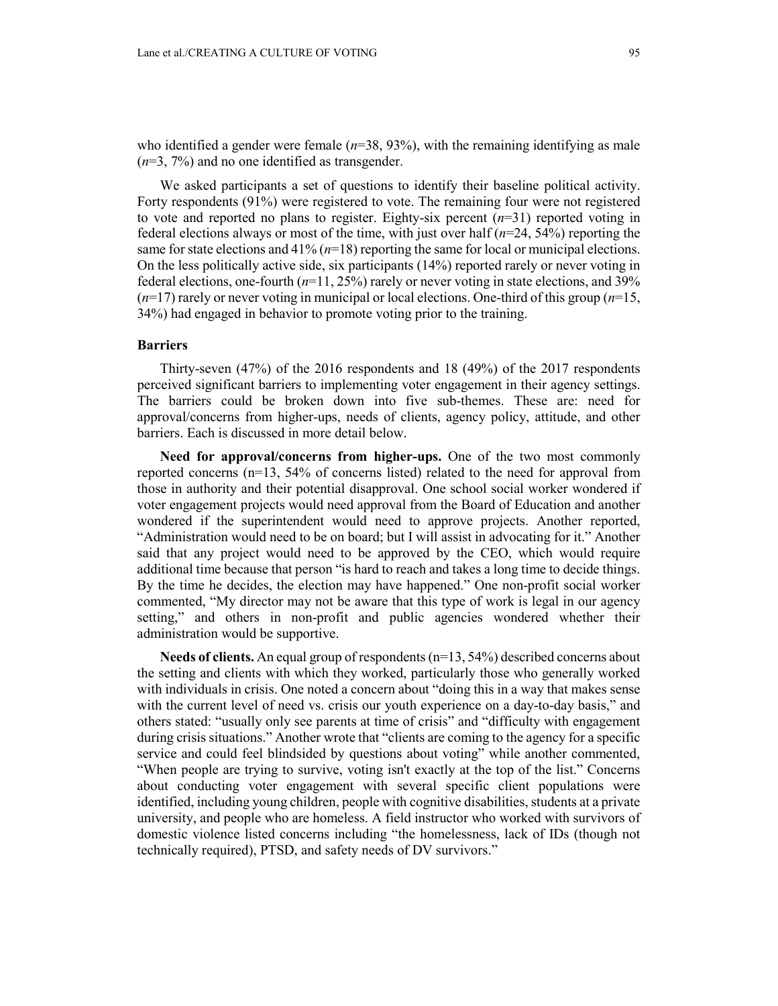who identified a gender were female  $(n=38, 93%)$ , with the remaining identifying as male (*n*=3, 7%) and no one identified as transgender.

We asked participants a set of questions to identify their baseline political activity. Forty respondents (91%) were registered to vote. The remaining four were not registered to vote and reported no plans to register. Eighty-six percent  $(n=31)$  reported voting in federal elections always or most of the time, with just over half (*n*=24, 54%) reporting the same for state elections and 41% (*n*=18) reporting the same for local or municipal elections. On the less politically active side, six participants (14%) reported rarely or never voting in federal elections, one-fourth (*n*=11, 25%) rarely or never voting in state elections, and 39%  $(n=17)$  rarely or never voting in municipal or local elections. One-third of this group  $(n=15)$ , 34%) had engaged in behavior to promote voting prior to the training.

#### **Barriers**

Thirty-seven (47%) of the 2016 respondents and 18 (49%) of the 2017 respondents perceived significant barriers to implementing voter engagement in their agency settings. The barriers could be broken down into five sub-themes. These are: need for approval/concerns from higher-ups, needs of clients, agency policy, attitude, and other barriers. Each is discussed in more detail below.

**Need for approval/concerns from higher-ups.** One of the two most commonly reported concerns (n=13, 54% of concerns listed) related to the need for approval from those in authority and their potential disapproval. One school social worker wondered if voter engagement projects would need approval from the Board of Education and another wondered if the superintendent would need to approve projects. Another reported, "Administration would need to be on board; but I will assist in advocating for it." Another said that any project would need to be approved by the CEO, which would require additional time because that person "is hard to reach and takes a long time to decide things. By the time he decides, the election may have happened." One non-profit social worker commented, "My director may not be aware that this type of work is legal in our agency setting," and others in non-profit and public agencies wondered whether their administration would be supportive.

**Needs of clients.** An equal group of respondents (n=13, 54%) described concerns about the setting and clients with which they worked, particularly those who generally worked with individuals in crisis. One noted a concern about "doing this in a way that makes sense with the current level of need vs. crisis our youth experience on a day-to-day basis," and others stated: "usually only see parents at time of crisis" and "difficulty with engagement during crisis situations." Another wrote that "clients are coming to the agency for a specific service and could feel blindsided by questions about voting" while another commented, "When people are trying to survive, voting isn't exactly at the top of the list." Concerns about conducting voter engagement with several specific client populations were identified, including young children, people with cognitive disabilities, students at a private university, and people who are homeless. A field instructor who worked with survivors of domestic violence listed concerns including "the homelessness, lack of IDs (though not technically required), PTSD, and safety needs of DV survivors."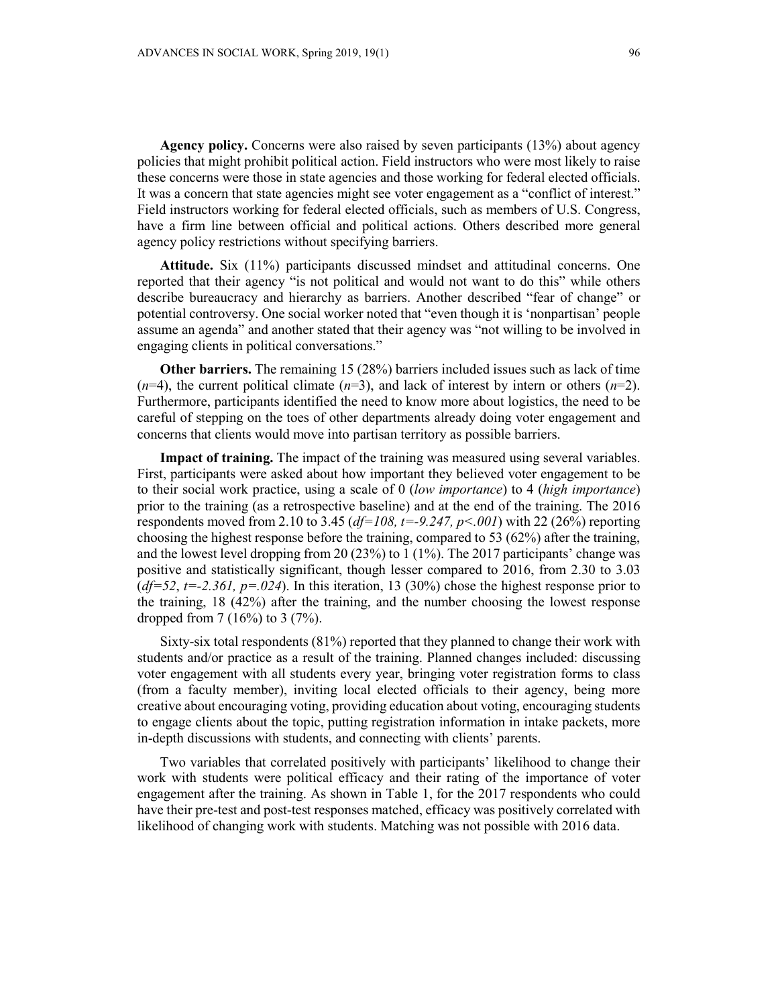**Agency policy.** Concerns were also raised by seven participants (13%) about agency policies that might prohibit political action. Field instructors who were most likely to raise these concerns were those in state agencies and those working for federal elected officials. It was a concern that state agencies might see voter engagement as a "conflict of interest." Field instructors working for federal elected officials, such as members of U.S. Congress, have a firm line between official and political actions. Others described more general agency policy restrictions without specifying barriers.

**Attitude.** Six (11%) participants discussed mindset and attitudinal concerns. One reported that their agency "is not political and would not want to do this" while others describe bureaucracy and hierarchy as barriers. Another described "fear of change" or potential controversy. One social worker noted that "even though it is 'nonpartisan' people assume an agenda" and another stated that their agency was "not willing to be involved in engaging clients in political conversations."

**Other barriers.** The remaining 15 (28%) barriers included issues such as lack of time  $(n=4)$ , the current political climate  $(n=3)$ , and lack of interest by intern or others  $(n=2)$ . Furthermore, participants identified the need to know more about logistics, the need to be careful of stepping on the toes of other departments already doing voter engagement and concerns that clients would move into partisan territory as possible barriers.

**Impact of training.** The impact of the training was measured using several variables. First, participants were asked about how important they believed voter engagement to be to their social work practice, using a scale of 0 (*low importance*) to 4 (*high importance*) prior to the training (as a retrospective baseline) and at the end of the training. The 2016 respondents moved from 2.10 to 3.45 (*df=108, t=-9.247, p<.001*) with 22 (26%) reporting choosing the highest response before the training, compared to 53 (62%) after the training, and the lowest level dropping from 20 (23%) to 1 (1%). The 2017 participants' change was positive and statistically significant, though lesser compared to 2016, from 2.30 to 3.03  $(d=52, t=-2.361, p=.024)$ . In this iteration, 13 (30%) chose the highest response prior to the training, 18 (42%) after the training, and the number choosing the lowest response dropped from 7 (16%) to 3 (7%).

Sixty-six total respondents (81%) reported that they planned to change their work with students and/or practice as a result of the training. Planned changes included: discussing voter engagement with all students every year, bringing voter registration forms to class (from a faculty member), inviting local elected officials to their agency, being more creative about encouraging voting, providing education about voting, encouraging students to engage clients about the topic, putting registration information in intake packets, more in-depth discussions with students, and connecting with clients' parents.

Two variables that correlated positively with participants' likelihood to change their work with students were political efficacy and their rating of the importance of voter engagement after the training. As shown in Table 1, for the 2017 respondents who could have their pre-test and post-test responses matched, efficacy was positively correlated with likelihood of changing work with students. Matching was not possible with 2016 data.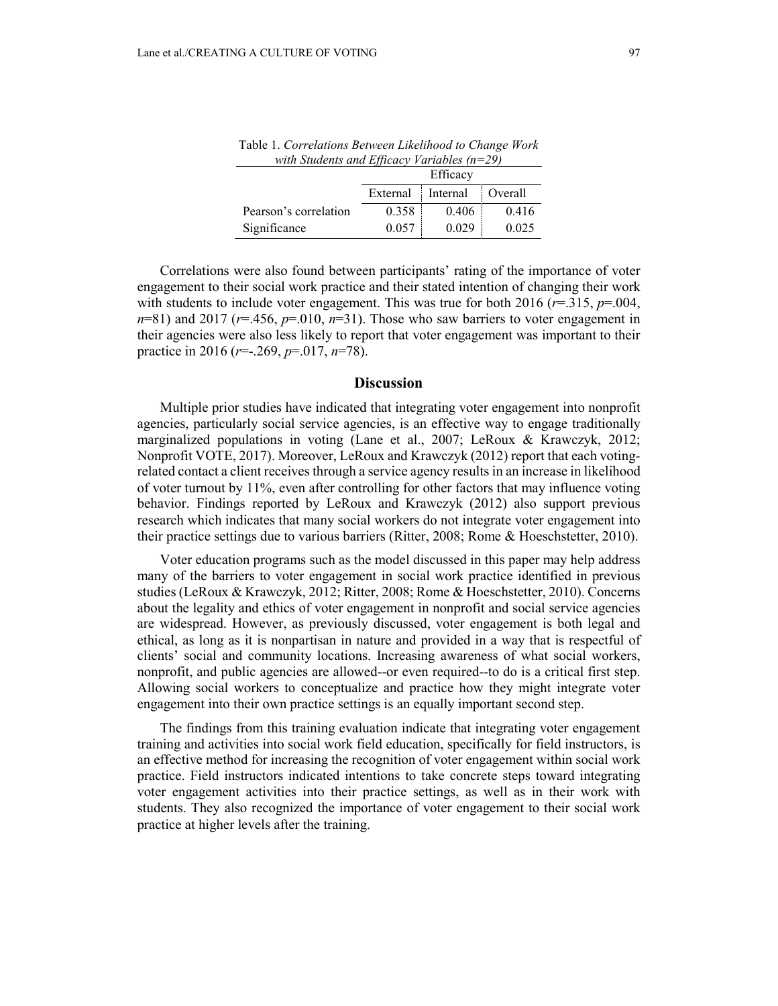|                       | Efficacy |          |           |
|-----------------------|----------|----------|-----------|
|                       | External | Internal | : Overall |
| Pearson's correlation | 0.358    | 0.406    | 0.416     |
| Significance          | 0.057    | 0.029    | 0.025     |

Table 1. *Correlations Between Likelihood to Change Work with Students and Efficacy Variables (n=29)*

Correlations were also found between participants' rating of the importance of voter engagement to their social work practice and their stated intention of changing their work with students to include voter engagement. This was true for both 2016 ( $r=315$ ,  $p=.004$ ,  $n=81$ ) and 2017 ( $r=.456$ ,  $p=.010$ ,  $n=31$ ). Those who saw barriers to voter engagement in their agencies were also less likely to report that voter engagement was important to their practice in 2016 (*r*=-.269, *p*=.017, *n*=78).

#### **Discussion**

Multiple prior studies have indicated that integrating voter engagement into nonprofit agencies, particularly social service agencies, is an effective way to engage traditionally marginalized populations in voting (Lane et al., 2007; LeRoux & Krawczyk, 2012; Nonprofit VOTE, 2017). Moreover, LeRoux and Krawczyk (2012) report that each votingrelated contact a client receives through a service agency results in an increase in likelihood of voter turnout by 11%, even after controlling for other factors that may influence voting behavior. Findings reported by LeRoux and Krawczyk (2012) also support previous research which indicates that many social workers do not integrate voter engagement into their practice settings due to various barriers (Ritter, 2008; Rome & Hoeschstetter, 2010).

Voter education programs such as the model discussed in this paper may help address many of the barriers to voter engagement in social work practice identified in previous studies (LeRoux & Krawczyk, 2012; Ritter, 2008; Rome & Hoeschstetter, 2010). Concerns about the legality and ethics of voter engagement in nonprofit and social service agencies are widespread. However, as previously discussed, voter engagement is both legal and ethical, as long as it is nonpartisan in nature and provided in a way that is respectful of clients' social and community locations. Increasing awareness of what social workers, nonprofit, and public agencies are allowed--or even required--to do is a critical first step. Allowing social workers to conceptualize and practice how they might integrate voter engagement into their own practice settings is an equally important second step.

The findings from this training evaluation indicate that integrating voter engagement training and activities into social work field education, specifically for field instructors, is an effective method for increasing the recognition of voter engagement within social work practice. Field instructors indicated intentions to take concrete steps toward integrating voter engagement activities into their practice settings, as well as in their work with students. They also recognized the importance of voter engagement to their social work practice at higher levels after the training.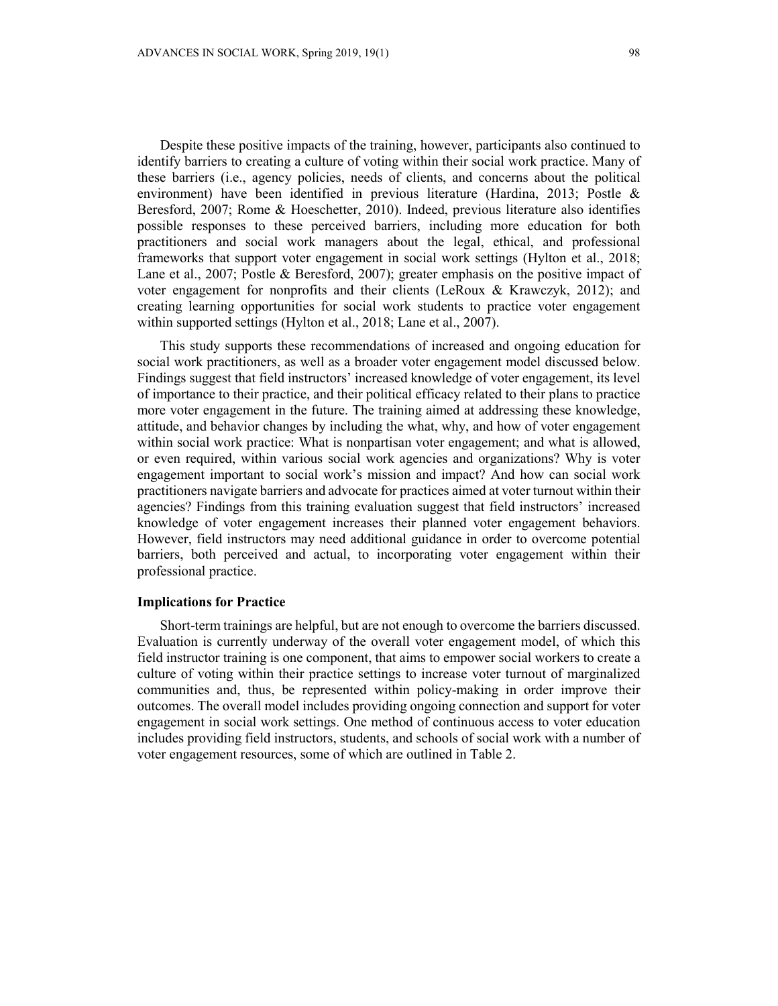Despite these positive impacts of the training, however, participants also continued to identify barriers to creating a culture of voting within their social work practice. Many of these barriers (i.e., agency policies, needs of clients, and concerns about the political environment) have been identified in previous literature (Hardina, 2013; Postle & Beresford, 2007; Rome & Hoeschetter, 2010). Indeed, previous literature also identifies possible responses to these perceived barriers, including more education for both practitioners and social work managers about the legal, ethical, and professional frameworks that support voter engagement in social work settings (Hylton et al., 2018; Lane et al., 2007; Postle & Beresford, 2007); greater emphasis on the positive impact of voter engagement for nonprofits and their clients (LeRoux & Krawczyk, 2012); and creating learning opportunities for social work students to practice voter engagement within supported settings (Hylton et al., 2018; Lane et al., 2007).

This study supports these recommendations of increased and ongoing education for social work practitioners, as well as a broader voter engagement model discussed below. Findings suggest that field instructors' increased knowledge of voter engagement, its level of importance to their practice, and their political efficacy related to their plans to practice more voter engagement in the future. The training aimed at addressing these knowledge, attitude, and behavior changes by including the what, why, and how of voter engagement within social work practice: What is nonpartisan voter engagement; and what is allowed, or even required, within various social work agencies and organizations? Why is voter engagement important to social work's mission and impact? And how can social work practitioners navigate barriers and advocate for practices aimed at voter turnout within their agencies? Findings from this training evaluation suggest that field instructors' increased knowledge of voter engagement increases their planned voter engagement behaviors. However, field instructors may need additional guidance in order to overcome potential barriers, both perceived and actual, to incorporating voter engagement within their professional practice.

#### **Implications for Practice**

Short-term trainings are helpful, but are not enough to overcome the barriers discussed. Evaluation is currently underway of the overall voter engagement model, of which this field instructor training is one component, that aims to empower social workers to create a culture of voting within their practice settings to increase voter turnout of marginalized communities and, thus, be represented within policy-making in order improve their outcomes. The overall model includes providing ongoing connection and support for voter engagement in social work settings. One method of continuous access to voter education includes providing field instructors, students, and schools of social work with a number of voter engagement resources, some of which are outlined in Table 2.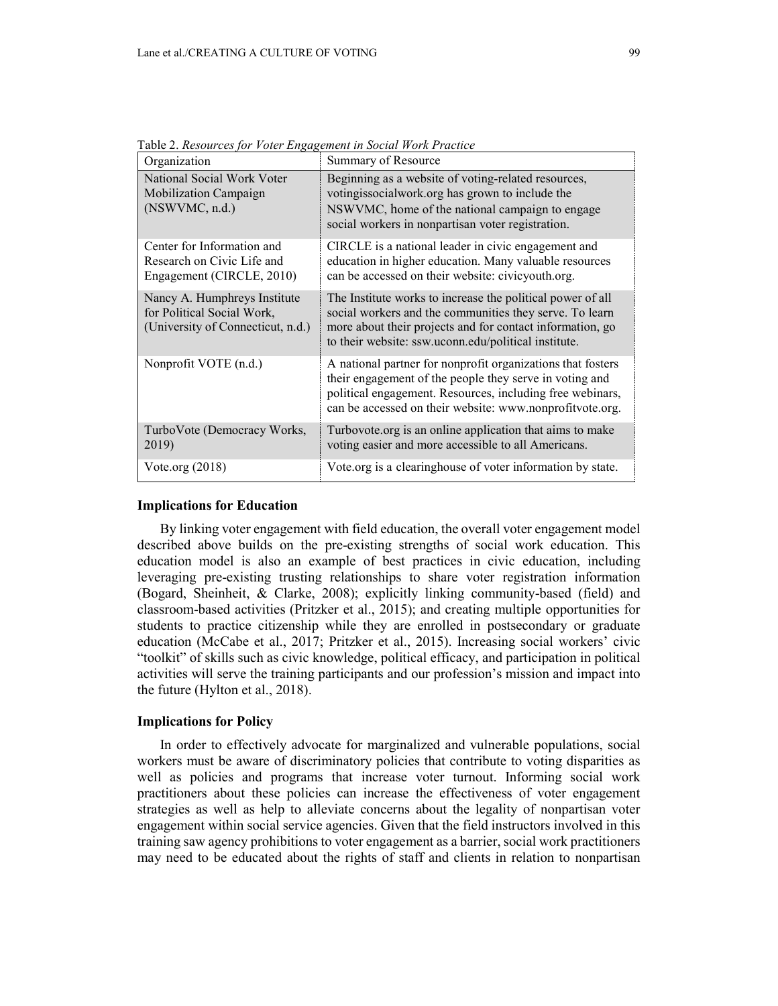| Organization                                                                                    | Summary of Resource                                                                                                                                                                                                                             |
|-------------------------------------------------------------------------------------------------|-------------------------------------------------------------------------------------------------------------------------------------------------------------------------------------------------------------------------------------------------|
| National Social Work Voter<br>Mobilization Campaign<br>(NSWVMC, n.d.)                           | Beginning as a website of voting-related resources,<br>votingissocialwork.org has grown to include the<br>NSWVMC, home of the national campaign to engage<br>social workers in nonpartisan voter registration.                                  |
| Center for Information and<br>Research on Civic Life and<br>Engagement (CIRCLE, 2010)           | CIRCLE is a national leader in civic engagement and<br>education in higher education. Many valuable resources<br>can be accessed on their website: civicyouth.org.                                                                              |
| Nancy A. Humphreys Institute<br>for Political Social Work,<br>(University of Connecticut, n.d.) | The Institute works to increase the political power of all<br>social workers and the communities they serve. To learn<br>more about their projects and for contact information, go<br>to their website: ssw.uconn.edu/political institute.      |
| Nonprofit VOTE (n.d.)                                                                           | A national partner for nonprofit organizations that fosters<br>their engagement of the people they serve in voting and<br>political engagement. Resources, including free webinars,<br>can be accessed on their website: www.nonprofitvote.org. |
| TurboVote (Democracy Works,<br>2019)                                                            | Turbovote.org is an online application that aims to make<br>voting easier and more accessible to all Americans.                                                                                                                                 |
| Vote.org $(2018)$                                                                               | Vote.org is a clearinghouse of voter information by state.                                                                                                                                                                                      |

Table 2. *Resources for Voter Engagement in Social Work Practice*

#### **Implications for Education**

By linking voter engagement with field education, the overall voter engagement model described above builds on the pre-existing strengths of social work education. This education model is also an example of best practices in civic education, including leveraging pre-existing trusting relationships to share voter registration information (Bogard, Sheinheit, & Clarke, 2008); explicitly linking community-based (field) and classroom-based activities (Pritzker et al., 2015); and creating multiple opportunities for students to practice citizenship while they are enrolled in postsecondary or graduate education (McCabe et al., 2017; Pritzker et al., 2015). Increasing social workers' civic "toolkit" of skills such as civic knowledge, political efficacy, and participation in political activities will serve the training participants and our profession's mission and impact into the future (Hylton et al., 2018).

## **Implications for Policy**

In order to effectively advocate for marginalized and vulnerable populations, social workers must be aware of discriminatory policies that contribute to voting disparities as well as policies and programs that increase voter turnout. Informing social work practitioners about these policies can increase the effectiveness of voter engagement strategies as well as help to alleviate concerns about the legality of nonpartisan voter engagement within social service agencies. Given that the field instructors involved in this training saw agency prohibitions to voter engagement as a barrier, social work practitioners may need to be educated about the rights of staff and clients in relation to nonpartisan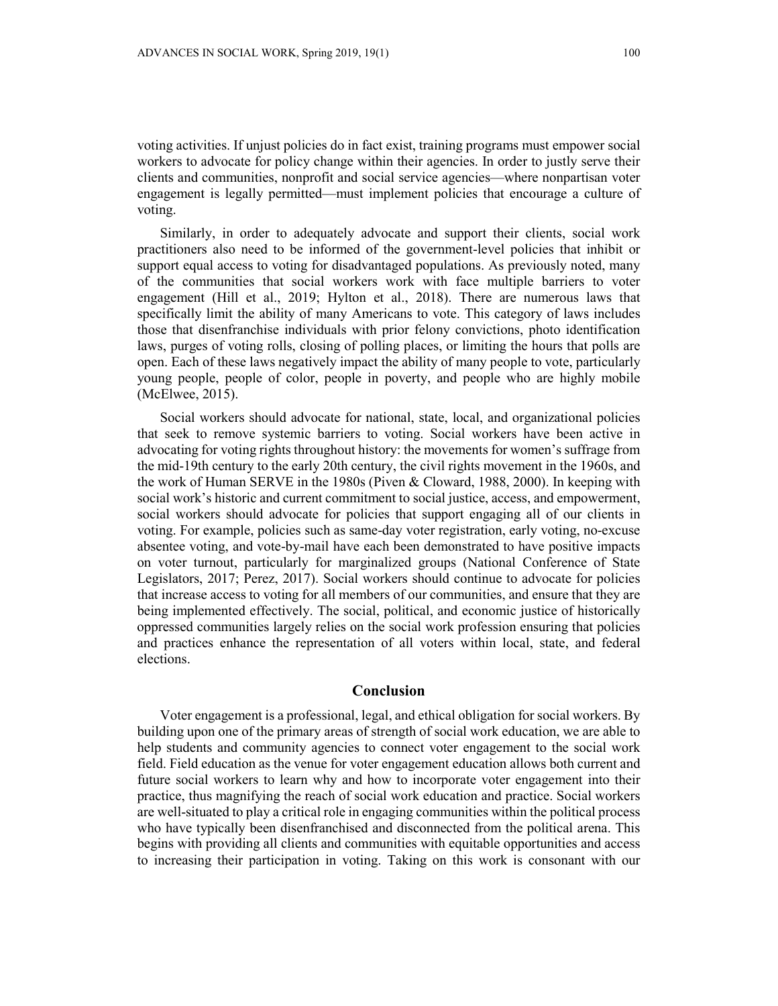voting activities. If unjust policies do in fact exist, training programs must empower social workers to advocate for policy change within their agencies. In order to justly serve their clients and communities, nonprofit and social service agencies—where nonpartisan voter engagement is legally permitted—must implement policies that encourage a culture of voting.

Similarly, in order to adequately advocate and support their clients, social work practitioners also need to be informed of the government-level policies that inhibit or support equal access to voting for disadvantaged populations. As previously noted, many of the communities that social workers work with face multiple barriers to voter engagement (Hill et al., 2019; Hylton et al., 2018). There are numerous laws that specifically limit the ability of many Americans to vote. This category of laws includes those that disenfranchise individuals with prior felony convictions, photo identification laws, purges of voting rolls, closing of polling places, or limiting the hours that polls are open. Each of these laws negatively impact the ability of many people to vote, particularly young people, people of color, people in poverty, and people who are highly mobile (McElwee, 2015).

Social workers should advocate for national, state, local, and organizational policies that seek to remove systemic barriers to voting. Social workers have been active in advocating for voting rights throughout history: the movements for women's suffrage from the mid-19th century to the early 20th century, the civil rights movement in the 1960s, and the work of Human SERVE in the 1980s (Piven & Cloward, 1988, 2000). In keeping with social work's historic and current commitment to social justice, access, and empowerment, social workers should advocate for policies that support engaging all of our clients in voting. For example, policies such as same-day voter registration, early voting, no-excuse absentee voting, and vote-by-mail have each been demonstrated to have positive impacts on voter turnout, particularly for marginalized groups (National Conference of State Legislators, 2017; Perez, 2017). Social workers should continue to advocate for policies that increase access to voting for all members of our communities, and ensure that they are being implemented effectively. The social, political, and economic justice of historically oppressed communities largely relies on the social work profession ensuring that policies and practices enhance the representation of all voters within local, state, and federal elections.

## **Conclusion**

Voter engagement is a professional, legal, and ethical obligation for social workers. By building upon one of the primary areas of strength of social work education, we are able to help students and community agencies to connect voter engagement to the social work field. Field education as the venue for voter engagement education allows both current and future social workers to learn why and how to incorporate voter engagement into their practice, thus magnifying the reach of social work education and practice. Social workers are well-situated to play a critical role in engaging communities within the political process who have typically been disenfranchised and disconnected from the political arena. This begins with providing all clients and communities with equitable opportunities and access to increasing their participation in voting. Taking on this work is consonant with our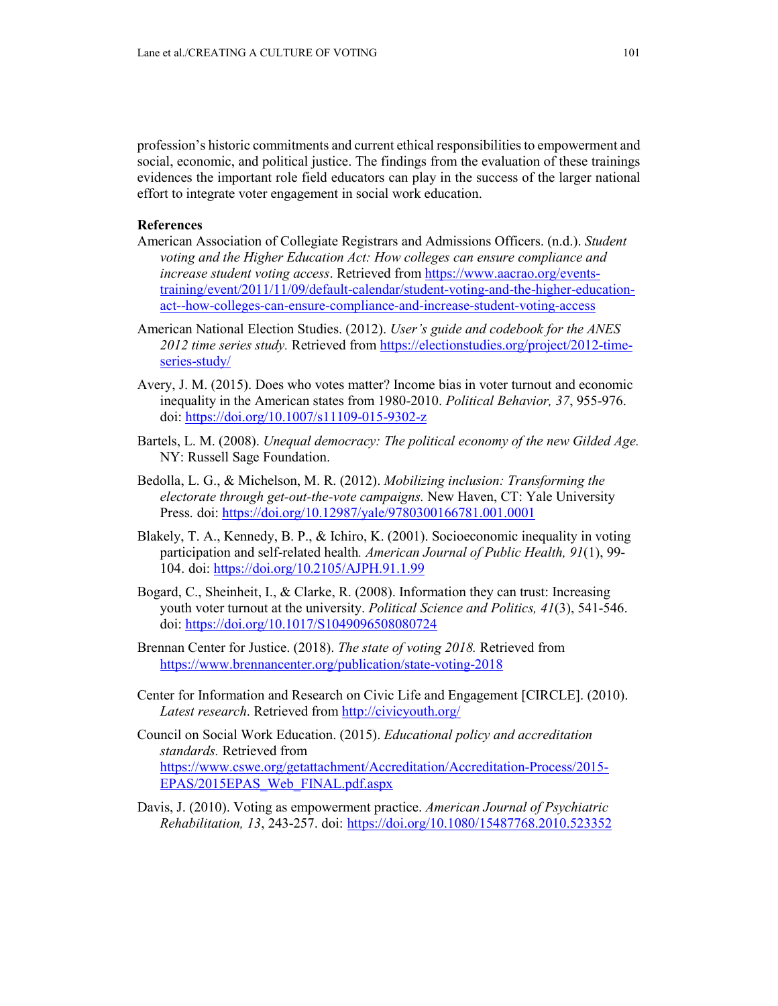profession's historic commitments and current ethical responsibilities to empowerment and social, economic, and political justice. The findings from the evaluation of these trainings evidences the important role field educators can play in the success of the larger national effort to integrate voter engagement in social work education.

## **References**

- American Association of Collegiate Registrars and Admissions Officers. (n.d.). *Student voting and the Higher Education Act: How colleges can ensure compliance and increase student voting access*. Retrieved from [https://www.aacrao.org/events](https://www.aacrao.org/events-training/event/2011/11/09/default-calendar/student-voting-and-the-higher-education-act--how-colleges-can-ensure-compliance-and-increase-student-voting-access)[training/event/2011/11/09/default-calendar/student-voting-and-the-higher-education](https://www.aacrao.org/events-training/event/2011/11/09/default-calendar/student-voting-and-the-higher-education-act--how-colleges-can-ensure-compliance-and-increase-student-voting-access)[act--how-colleges-can-ensure-compliance-and-increase-student-voting-access](https://www.aacrao.org/events-training/event/2011/11/09/default-calendar/student-voting-and-the-higher-education-act--how-colleges-can-ensure-compliance-and-increase-student-voting-access)
- American National Election Studies. (2012). *User's guide and codebook for the ANES 2012 time series study.* Retrieved from [https://electionstudies.org/project/2012-time](https://electionstudies.org/project/2012-time-series-study/)[series-study/](https://electionstudies.org/project/2012-time-series-study/)
- Avery, J. M. (2015). Does who votes matter? Income bias in voter turnout and economic inequality in the American states from 1980-2010. *Political Behavior, 37*, 955-976. doi:<https://doi.org/10.1007/s11109-015-9302-z>
- Bartels, L. M. (2008). *Unequal democracy: The political economy of the new Gilded Age.*  NY: Russell Sage Foundation.
- Bedolla, L. G., & Michelson, M. R. (2012). *Mobilizing inclusion: Transforming the electorate through get-out-the-vote campaigns.* New Haven, CT: Yale University Press. doi:<https://doi.org/10.12987/yale/9780300166781.001.0001>
- Blakely, T. A., Kennedy, B. P., & Ichiro, K. (2001). Socioeconomic inequality in voting participation and self-related health*. American Journal of Public Health, 91*(1), 99- 104. doi:<https://doi.org/10.2105/AJPH.91.1.99>
- Bogard, C., Sheinheit, I., & Clarke, R. (2008). Information they can trust: Increasing youth voter turnout at the university. *Political Science and Politics, 41*(3), 541-546. doi:<https://doi.org/10.1017/S1049096508080724>
- Brennan Center for Justice. (2018). *The state of voting 2018.* Retrieved from <https://www.brennancenter.org/publication/state-voting-2018>
- Center for Information and Research on Civic Life and Engagement [CIRCLE]. (2010). Latest research. Retrieved from<http://civicyouth.org/>
- Council on Social Work Education. (2015). *Educational policy and accreditation standards.* Retrieved from [https://www.cswe.org/getattachment/Accreditation/Accreditation-Process/2015-](https://www.cswe.org/getattachment/Accreditation/Accreditation-Process/2015-EPAS/2015EPAS_Web_FINAL.pdf.aspx) [EPAS/2015EPAS\\_Web\\_FINAL.pdf.aspx](https://www.cswe.org/getattachment/Accreditation/Accreditation-Process/2015-EPAS/2015EPAS_Web_FINAL.pdf.aspx)
- Davis, J. (2010). Voting as empowerment practice. *American Journal of Psychiatric Rehabilitation, 13*, 243-257. doi: <https://doi.org/10.1080/15487768.2010.523352>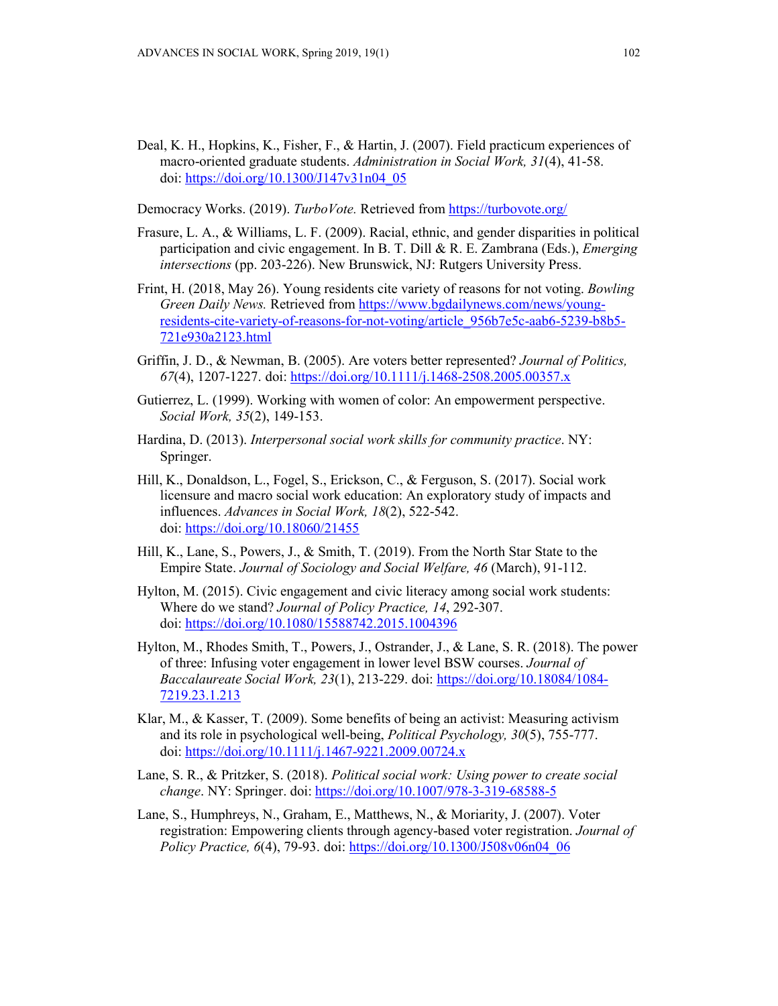- Deal, K. H., Hopkins, K., Fisher, F., & Hartin, J. (2007). Field practicum experiences of macro-oriented graduate students. *Administration in Social Work, 31*(4), 41-58. doi: [https://doi.org/10.1300/J147v31n04\\_05](https://doi.org/10.1300/J147v31n04_05)
- Democracy Works. (2019). *TurboVote.* Retrieved from <https://turbovote.org/>
- Frasure, L. A., & Williams, L. F. (2009). Racial, ethnic, and gender disparities in political participation and civic engagement. In B. T. Dill & R. E. Zambrana (Eds.), *Emerging intersections* (pp. 203-226). New Brunswick, NJ: Rutgers University Press.
- Frint, H. (2018, May 26). Young residents cite variety of reasons for not voting. *Bowling Green Daily News.* Retrieved from [https://www.bgdailynews.com/news/young](https://www.bgdailynews.com/news/young-residents-cite-variety-of-reasons-for-not-voting/article_956b7e5c-aab6-5239-b8b5-721e930a2123.html)[residents-cite-variety-of-reasons-for-not-voting/article\\_956b7e5c-aab6-5239-b8b5-](https://www.bgdailynews.com/news/young-residents-cite-variety-of-reasons-for-not-voting/article_956b7e5c-aab6-5239-b8b5-721e930a2123.html) [721e930a2123.html](https://www.bgdailynews.com/news/young-residents-cite-variety-of-reasons-for-not-voting/article_956b7e5c-aab6-5239-b8b5-721e930a2123.html)
- Griffin, J. D., & Newman, B. (2005). Are voters better represented? *Journal of Politics, 67*(4), 1207-1227. doi[: https://doi.org/10.1111/j.1468-2508.2005.00357.x](https://doi.org/10.1111/j.1468-2508.2005.00357.x)
- Gutierrez, L. (1999). Working with women of color: An empowerment perspective. *Social Work, 35*(2), 149-153.
- Hardina, D. (2013). *Interpersonal social work skills for community practice*. NY: Springer.
- Hill, K., Donaldson, L., Fogel, S., Erickson, C., & Ferguson, S. (2017). Social work licensure and macro social work education: An exploratory study of impacts and influences. *Advances in Social Work, 18*(2), 522-542. doi:<https://doi.org/10.18060/21455>
- Hill, K., Lane, S., Powers, J., & Smith, T. (2019). From the North Star State to the Empire State. *Journal of Sociology and Social Welfare, 46* (March), 91-112.
- Hylton, M. (2015). Civic engagement and civic literacy among social work students: Where do we stand? *Journal of Policy Practice, 14*, 292-307. doi:<https://doi.org/10.1080/15588742.2015.1004396>
- Hylton, M., Rhodes Smith, T., Powers, J., Ostrander, J., & Lane, S. R. (2018). The power of three: Infusing voter engagement in lower level BSW courses. *Journal of Baccalaureate Social Work, 23*(1), 213-229. doi: [https://doi.org/10.18084/1084-](https://doi.org/10.18084/1084-7219.23.1.213) [7219.23.1.213](https://doi.org/10.18084/1084-7219.23.1.213)
- Klar, M., & Kasser, T. (2009). Some benefits of being an activist: Measuring activism and its role in psychological well-being, *Political Psychology, 30*(5), 755-777. doi:<https://doi.org/10.1111/j.1467-9221.2009.00724.x>
- Lane, S. R., & Pritzker, S. (2018). *Political social work: Using power to create social change*. NY: Springer. doi:<https://doi.org/10.1007/978-3-319-68588-5>
- Lane, S., Humphreys, N., Graham, E., Matthews, N., & Moriarity, J. (2007). Voter registration: Empowering clients through agency-based voter registration. *Journal of Policy Practice, 6*(4), 79-93. doi: [https://doi.org/10.1300/J508v06n04\\_06](https://doi.org/10.1300/J508v06n04_06)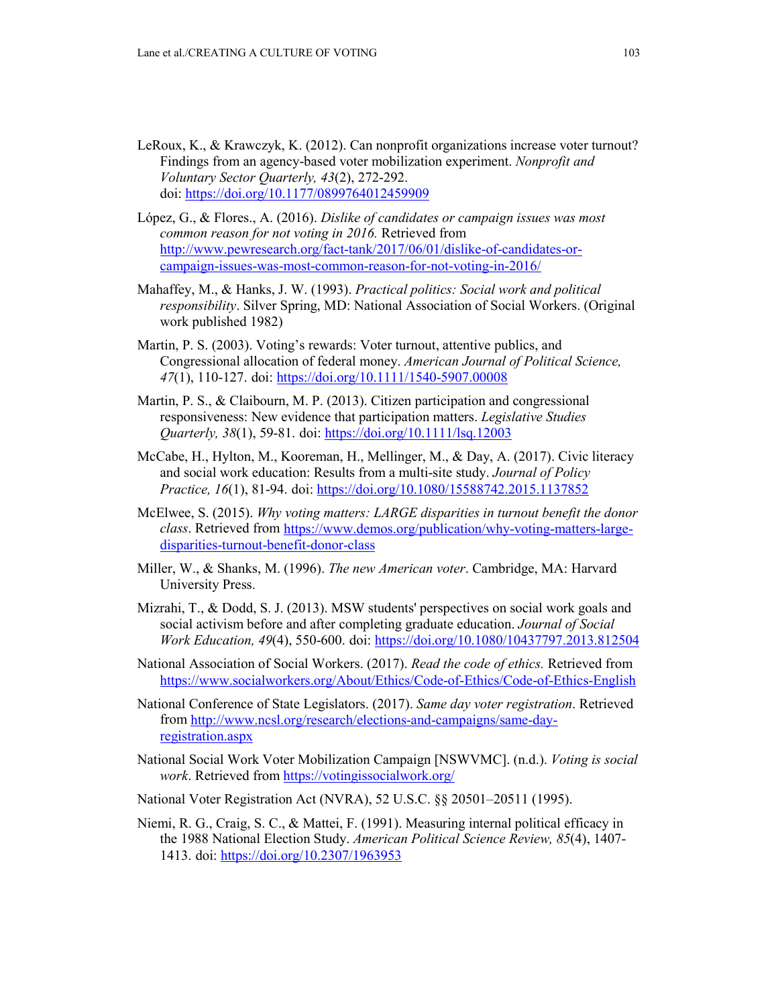- LeRoux, K., & Krawczyk, K. (2012). Can nonprofit organizations increase voter turnout? Findings from an agency-based voter mobilization experiment. *Nonprofit and Voluntary Sector Quarterly, 43*(2), 272-292. doi:<https://doi.org/10.1177/0899764012459909>
- López, G., & Flores., A. (2016). *Dislike of candidates or campaign issues was most common reason for not voting in 2016.* Retrieved from [http://www.pewresearch.org/fact-tank/2017/06/01/dislike-of-candidates-or](http://www.pewresearch.org/fact-tank/2017/06/01/dislike-of-candidates-or-campaign-issues-was-most-common-reason-for-not-voting-in-2016/)[campaign-issues-was-most-common-reason-for-not-voting-in-2016/](http://www.pewresearch.org/fact-tank/2017/06/01/dislike-of-candidates-or-campaign-issues-was-most-common-reason-for-not-voting-in-2016/)
- Mahaffey, M., & Hanks, J. W. (1993). *Practical politics: Social work and political responsibility*. Silver Spring, MD: National Association of Social Workers. (Original work published 1982)
- Martin, P. S. (2003). Voting's rewards: Voter turnout, attentive publics, and Congressional allocation of federal money. *American Journal of Political Science, 47*(1), 110-127. doi:<https://doi.org/10.1111/1540-5907.00008>
- Martin, P. S., & Claibourn, M. P. (2013). Citizen participation and congressional responsiveness: New evidence that participation matters. *Legislative Studies Quarterly, 38*(1), 59-81. doi:<https://doi.org/10.1111/lsq.12003>
- McCabe, H., Hylton, M., Kooreman, H., Mellinger, M., & Day, A. (2017). Civic literacy and social work education: Results from a multi-site study. *Journal of Policy Practice, 16*(1), 81-94. doi:<https://doi.org/10.1080/15588742.2015.1137852>
- McElwee, S. (2015). *Why voting matters: LARGE disparities in turnout benefit the donor class*. Retrieved from [https://www.demos.org/publication/why-voting-matters-large](https://www.demos.org/publication/why-voting-matters-large-disparities-turnout-benefit-donor-class)[disparities-turnout-benefit-donor-class](https://www.demos.org/publication/why-voting-matters-large-disparities-turnout-benefit-donor-class)
- Miller, W., & Shanks, M. (1996). *The new American voter*. Cambridge, MA: Harvard University Press.
- Mizrahi, T., & Dodd, S. J. (2013). MSW students' perspectives on social work goals and social activism before and after completing graduate education. *Journal of Social Work Education, 49*(4), 550-600. doi:<https://doi.org/10.1080/10437797.2013.812504>
- National Association of Social Workers. (2017). *Read the code of ethics.* Retrieved from <https://www.socialworkers.org/About/Ethics/Code-of-Ethics/Code-of-Ethics-English>
- National Conference of State Legislators. (2017). *Same day voter registration*. Retrieved from [http://www.ncsl.org/research/elections-and-campaigns/same-day](http://www.ncsl.org/research/elections-and-campaigns/same-day-registration.aspx)[registration.aspx](http://www.ncsl.org/research/elections-and-campaigns/same-day-registration.aspx)
- National Social Work Voter Mobilization Campaign [NSWVMC]. (n.d.). *Voting is social work*. Retrieved from<https://votingissocialwork.org/>
- National Voter Registration Act (NVRA), 52 U.S.C. §§ 20501–20511 (1995).
- Niemi, R. G., Craig, S. C., & Mattei, F. (1991). Measuring internal political efficacy in the 1988 National Election Study. *American Political Science Review, 85*(4), 1407- 1413. doi:<https://doi.org/10.2307/1963953>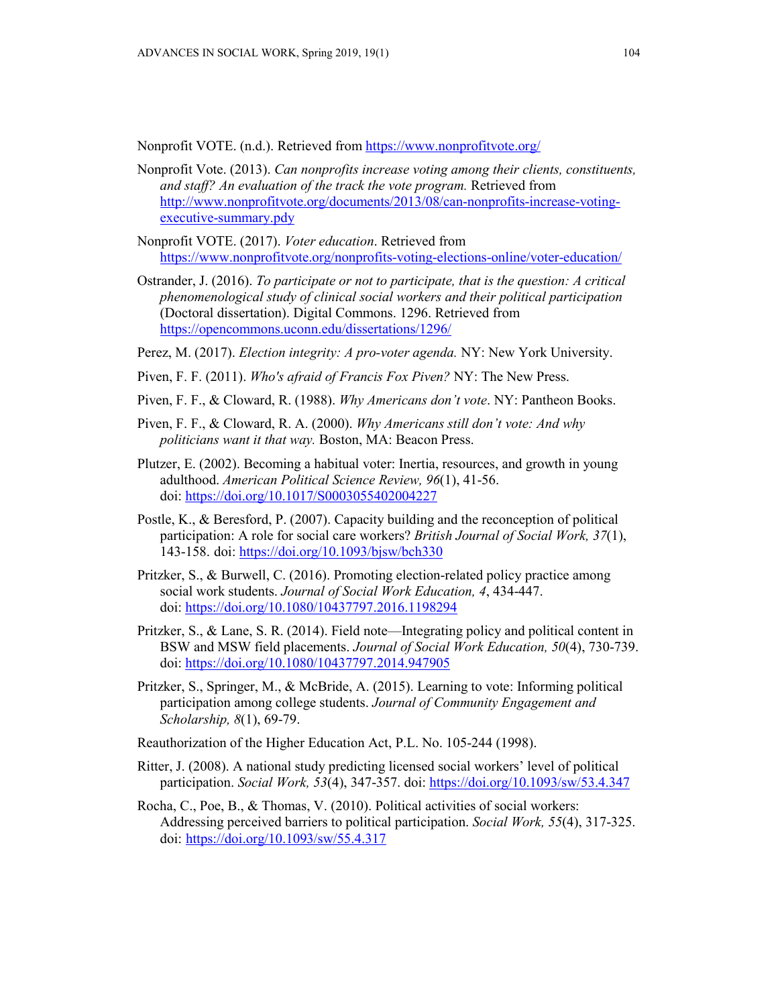Nonprofit VOTE. (n.d.). Retrieved from <https://www.nonprofitvote.org/>

- Nonprofit Vote. (2013). *Can nonprofits increase voting among their clients, constituents, and staff? An evaluation of the track the vote program.* Retrieved from [http://www.nonprofitvote.org/documents/2013/08/can-nonprofits-increase-voting](http://www.nonprofitvote.org/documents/2013/08/can-nonprofits-increase-voting-executive-summary.pdy)[executive-summary.pdy](http://www.nonprofitvote.org/documents/2013/08/can-nonprofits-increase-voting-executive-summary.pdy)
- Nonprofit VOTE. (2017). *Voter education*. Retrieved from <https://www.nonprofitvote.org/nonprofits-voting-elections-online/voter-education/>
- Ostrander, J. (2016). *To participate or not to participate, that is the question: A critical phenomenological study of clinical social workers and their political participation* (Doctoral dissertation). Digital Commons. 1296. Retrieved from <https://opencommons.uconn.edu/dissertations/1296/>
- Perez, M. (2017). *Election integrity: A pro-voter agenda.* NY: New York University.
- Piven, F. F. (2011). *Who's afraid of Francis Fox Piven?* NY: The New Press.
- Piven, F. F., & Cloward, R. (1988). *Why Americans don't vote*. NY: Pantheon Books.
- Piven, F. F., & Cloward, R. A. (2000). *Why Americans still don't vote: And why politicians want it that way.* Boston, MA: Beacon Press.
- Plutzer, E. (2002). Becoming a habitual voter: Inertia, resources, and growth in young adulthood. *American Political Science Review, 96*(1), 41-56. doi:<https://doi.org/10.1017/S0003055402004227>
- Postle, K., & Beresford, P. (2007). Capacity building and the reconception of political participation: A role for social care workers? *British Journal of Social Work, 37*(1), 143-158. doi:<https://doi.org/10.1093/bjsw/bch330>
- Pritzker, S., & Burwell, C. (2016). Promoting election-related policy practice among social work students. *Journal of Social Work Education, 4*, 434-447. doi:<https://doi.org/10.1080/10437797.2016.1198294>
- Pritzker, S., & Lane, S. R. (2014). Field note—Integrating policy and political content in BSW and MSW field placements. *Journal of Social Work Education, 50*(4), 730-739. doi:<https://doi.org/10.1080/10437797.2014.947905>
- Pritzker, S., Springer, M., & McBride, A. (2015). Learning to vote: Informing political participation among college students. *Journal of Community Engagement and Scholarship, 8*(1), 69-79.
- Reauthorization of the Higher Education Act, P.L. No. 105-244 (1998).
- Ritter, J. (2008). A national study predicting licensed social workers' level of political participation. *Social Work, 53*(4), 347-357. doi:<https://doi.org/10.1093/sw/53.4.347>
- Rocha, C., Poe, B., & Thomas, V. (2010). Political activities of social workers: Addressing perceived barriers to political participation. *Social Work, 55*(4), 317-325. doi: <https://doi.org/10.1093/sw/55.4.317>